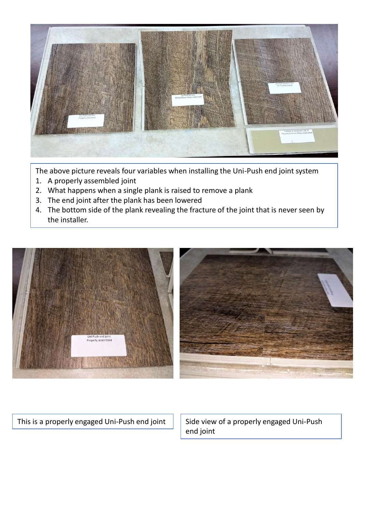

The above picture reveals four variables when installing the Uni-Push end joint system

- 1. A properly assembled joint
- 2. What happens when a single plank is raised to remove a plank
- 3. The end joint after the plank has been lowered
- 4. The bottom side of the plank revealing the fracture of the joint that is never seen by the installer.



This is a properly engaged Uni-Push end joint  $\parallel$  Side view of a properly engaged Uni-Push

end joint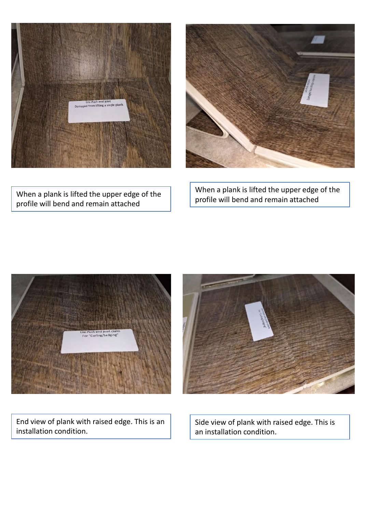



When a plank is lifted the upper edge of the profile will bend and remain attached

When a plank is lifted the upper edge of the profile will bend and remain attached





End view of plank with raised edge. This is an installation condition.

Side view of plank with raised edge. This is an installation condition.